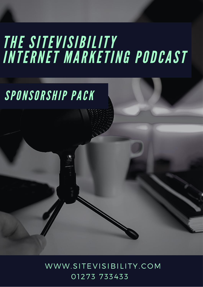# **THE SITEVISIBILITY<br>INTERNET MARKETING PODCAST**

# SPONSORSHIP PACK

WWW.SITEVISIBILITY.COM 01273 733433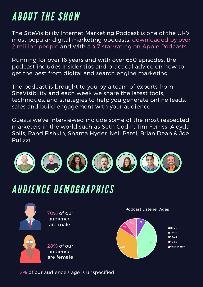## ABOUT THE SHOW

The SiteVisibility Internet Marketing Podcast is one of the UK's most popular digital marketing podcasts, downloaded by over 2 million people and with a 4.7 star-rating on Apple Podcasts.

Running for over 16 years and with over 650 episodes, the podcast includes insider tips and practical advice on how to get the best from digital and search engine marketing.

The podcast is brought to you by a team of experts from SiteVisibility and each week we share the latest tools, techniques, and strategies to help you generate online leads, sales and build engagement with your audience.

Guests we've interviewed include some of the most respected marketers in the world such as Seth Godin, Tim Ferriss, Aleyda Solis, Rand Fishkin, Shama Hyder, Neil Patel, Brian Dean & Joe Pulizzi.



#### AUDIENCE DEMOGRAPHICS



70% of our audience are male



28% of our audience are female

**Podcast Listener Ages** 

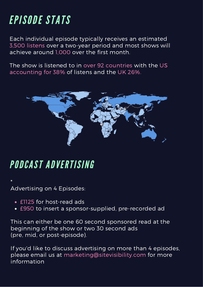## EPISODE STATS

Each individual episode typically receives an estimated 3,500 listens over a two-year period and most shows will achieve around 1,000 over the first month.

The show is listened to in over 92 countries with the US accounting for 38% of listens and the UK 26%.



#### PODCAST ADVERTISING

\* Advertising on 4 Episodes:

- £1125 for host-read ads
- £950 to insert a sponsor-supplied, pre-recorded ad

This can either be one 60 second sponsored read at the beginning of the show or two 30 second ads (pre, mid, or post-episode).

If you'd like to discuss advertising on more than 4 episodes, please email us at marketing@sitevisibility.com for more information